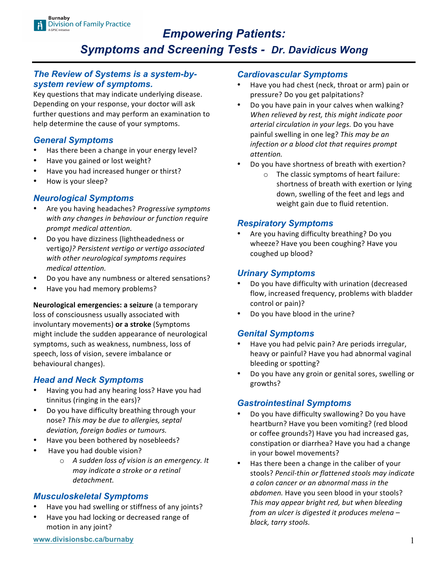# *Empowering Patients: Symptoms and Screening Tests - Dr. Davidicus Wong*

### *The Review of Systems is a system-bysystem review of symptoms.*

Key questions that may indicate underlying disease. Depending on your response, your doctor will ask further questions and may perform an examination to help determine the cause of your symptoms.

## *General Symptoms*

- Has there been a change in your energy level?
- Have you gained or lost weight?
- Have you had increased hunger or thirst?
- How is your sleep?

## *Neurological Symptoms*

- Are you having headaches? Progressive symptoms with any changes in behaviour or function require *prompt medical attention.*
- Do you have dizziness (lightheadedness or vertigo)? Persistent vertigo or vertigo associated with other neurological symptoms requires *medical attention.*
- Do you have any numbness or altered sensations?
- Have you had memory problems?

**Neurological emergencies: a seizure** (a temporary loss of consciousness usually associated with involuntary movements) or a stroke (Symptoms might include the sudden appearance of neurological symptoms, such as weakness, numbness, loss of speech, loss of vision, severe imbalance or behavioural changes).

## *Head and Neck Symptoms*

- Having you had any hearing loss? Have you had tinnitus (ringing in the ears)?
- Do you have difficulty breathing through your nose? This may be due to allergies, septal deviation, foreign bodies or tumours.
- Have you been bothered by nosebleeds?
- Have you had double vision?
	- o *A sudden loss of vision is an emergency. It may indicate a stroke or a retinal detachment.*

#### *Musculoskeletal Symptoms*

- Have you had swelling or stiffness of any joints?
- Have you had locking or decreased range of motion in any joint?

#### *Cardiovascular Symptoms*

- Have you had chest (neck, throat or arm) pain or pressure? Do you get palpitations?
- Do you have pain in your calves when walking? When relieved by rest, this might indicate poor arterial circulation in your legs. Do you have painful swelling in one leg? *This may be an infection* or a blood clot that requires prompt *attention.*
- Do you have shortness of breath with exertion?
	- $\circ$  The classic symptoms of heart failure: shortness of breath with exertion or lying down, swelling of the feet and legs and weight gain due to fluid retention.

#### *Respiratory Symptoms*

Are you having difficulty breathing? Do you wheeze? Have you been coughing? Have you coughed up blood?

### *Urinary Symptoms*

- Do you have difficulty with urination (decreased flow, increased frequency, problems with bladder control or pain)?
- Do you have blood in the urine?

#### *Genital Symptoms*

- Have you had pelvic pain? Are periods irregular, heavy or painful? Have you had abnormal vaginal bleeding or spotting?
- Do you have any groin or genital sores, swelling or growths?

#### *Gastrointestinal Symptoms*

- Do you have difficulty swallowing? Do you have heartburn? Have you been vomiting? (red blood or coffee grounds?) Have you had increased gas, constipation or diarrhea? Have you had a change in your bowel movements?
- Has there been a change in the caliber of your stools? Pencil-thin or flattened stools may indicate *a colon cancer or an abnormal mass in the abdomen.* Have you seen blood in your stools? This may appear bright red, but when bleeding *from an ulcer is digested it produces melena – black, tarry stools.*

**www.divisionsbc.ca/burnaby** 1